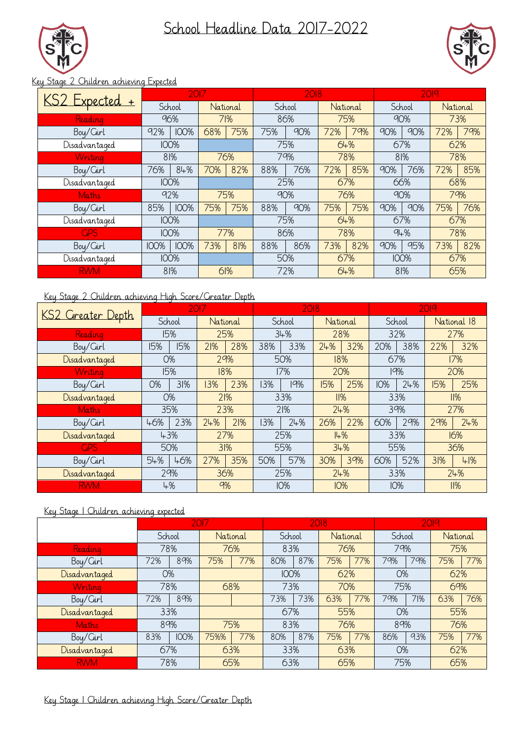School Headline Data 2017-2022





## Key Stage 2 Children achieving Expected

| KS2 Expected + | 2017        |             |          | 2018 |        |     |          | 2019 |          |             |          |     |  |
|----------------|-------------|-------------|----------|------|--------|-----|----------|------|----------|-------------|----------|-----|--|
|                |             | School      | National |      | School |     | National |      |          | School      | National |     |  |
| Reading        | 96%         |             | 71%      |      | 86%    |     | 75%      |      | 90%      |             | 73%      |     |  |
| Boy/Cirl       | 92%         | <b>100%</b> | 68%      | 75%  | 75%    | 90% | 72%      | 79%  | 90%      | 90%         | 72%      | 79% |  |
| Disadvantaged  | <b>IOO%</b> |             |          |      | 75%    |     | 64%      |      | 67%      |             | 62%      |     |  |
| Writing        | 81%         |             | 76%      |      |        | 79% |          | 78%  |          | 81%         |          | 78% |  |
| Boy/Cirl       | 76%         | 84%         | 70%      | 82%  | 88%    | 76% | 72%      | 85%  | 90%      | 76%         | 72%      | 85% |  |
| Disadvantaged  | <b>IOO%</b> |             |          |      | 25%    |     | 67%      |      | 66%      |             | 68%      |     |  |
| <b>Maths</b>   |             | 92%         | 75%      |      | 90%    |     | 76%      |      | 90%      |             | 79%      |     |  |
| Boy/Cirl       | 85%         | <b>100%</b> | 75%      | 75%  | 88%    | 90% | 75%      | 75%  | 90%      | 90%         | 75%      | 76% |  |
| Disadvantaged  | <b>IOO%</b> |             |          |      | 75%    |     |          | 64%  |          | 67%         | 67%      |     |  |
| <b>GPS</b>     | <b>IOO%</b> |             | 77%      |      | 86%    |     | 78%      |      | $9 + \%$ |             | 78%      |     |  |
| Boy/Cirl       | <b>IOO%</b> | <b>100%</b> | 73%      | 81%  | 88%    | 86% | 73%      | 82%  | 90%      | 95%         | 73%      | 82% |  |
| Disadvantaged  |             | <b>IOO%</b> |          |      | 50%    |     |          | 67%  |          | <b>100%</b> |          | 67% |  |
| <b>RWM</b>     |             | 81%         | 61%      |      | 72%    |     |          | 64%  |          | 81%         | 65%      |     |  |

## Key Stage 2 Children achieving High Score/Greater Depth

| KS2 Greater Depth | 2017      |     |          |     | 2018       |            |            |     | 2019       |     |     |             |
|-------------------|-----------|-----|----------|-----|------------|------------|------------|-----|------------|-----|-----|-------------|
|                   | School    |     | National |     |            | School     | National   |     | School     |     |     | National 18 |
| Reading           | 15%       |     | 25%      |     | 34%        |            | 28%        |     | 32%        |     | 27% |             |
| Boy/Cirl          | 15%       | 15% | 21%      | 28% | 38%        | 33%        | 24%        | 32% | 20%        | 38% | 22% | 32%         |
| Disadvantaged     | <b>O%</b> |     | 29%      |     | 50%        |            | 18%        |     | 67%        |     | 17% |             |
| Writing           | 15%       |     |          | 18% |            | 17%        | 20%        |     | 19%        |     | 20% |             |
| Boy/Girl          | O%        | 31% | 13%      | 23% | 13%        | 19%        | 15%        | 25% | IO%        | 24% | 15% | 25%         |
| Disadvantaged     | <b>O%</b> |     | 21%      |     |            | 33%        | 11%        |     | 33%        |     | 11% |             |
| Maths             | 35%       |     | 23%      |     | 21%        |            | 24%        |     | 39%        |     | 27% |             |
| Boy/Cirl          | 46%       | 23% | 24%      | 21% | 13%        | 24%        | 26%        | 22% | 60%        | 29% | 29% | 24%         |
| Disadvantaged     | 43%       |     | 27%      |     | 25%<br>14% |            |            | 33% |            | 16% |     |             |
| <b>GPS</b>        | 50%       |     | 31%      |     |            | 55%        | 34%        |     | 55%        |     | 36% |             |
| Boy/Cirl          | 54%       | 46% | 27%      | 35% | 50%        | 57%        | 30%        | 39% | 60%        | 52% | 31% | 41%         |
| Disadvantaged     | 29%       |     |          | 36% |            | 25%        |            | 24% |            | 33% |     | 24%         |
| <b>RWM</b>        | 4%        |     | $9\%$    |     |            | <b>10%</b> | <b>10%</b> |     | <b>10%</b> |     |     | 11%         |

## Key Stage 1 Children achieving expected

|               |        | 2018        |          |     |             | 2019 |          |           |        |     |          |     |
|---------------|--------|-------------|----------|-----|-------------|------|----------|-----------|--------|-----|----------|-----|
|               | School |             | National |     | School      |      | National |           | School |     | National |     |
| Reading       | 78%    |             | 76%      |     | 83%         |      | 76%      |           | 79%    |     | 75%      |     |
| Boy/Girl      | 72%    | 89%         | 75%      | 77% | 80%         | 87%  | 75%      | 77%       | 79%    | 79% | 75%      | 77% |
| Disadvantaged | O%     |             |          |     | <b>100%</b> |      | 62%      |           | O%     |     | 62%      |     |
| Writing       | 78%    |             | 68%      |     | 73%         |      | 70%      |           | 75%    |     | 69%      |     |
| Boy/Girl      | 72%    | 89%         |          |     | 73%         | 73%  | 63%      | 77%       | 79%    | 71% | 63%      | 76% |
| Disadvantaged | 33%    |             |          |     | 55%<br>67%  |      |          | <b>O%</b> |        | 55% |          |     |
| Maths         | 89%    |             | 75%      |     | 83%<br>76%  |      | 89%      |           | 76%    |     |          |     |
| Boy/Cirl      | 83%    | <b>IOO%</b> | 75%%     | 77% | 80%         | 87%  | 75%      | 77%       | 86%    | 93% | 75%      | 77% |
| Disadvantaged | 67%    |             | 63%      |     | 33%         |      | 63%      |           | O%     |     | 62%      |     |
| <b>RWM</b>    | 78%    |             | 65%      |     | 63%         |      | 65%      |           | 75%    |     | 65%      |     |